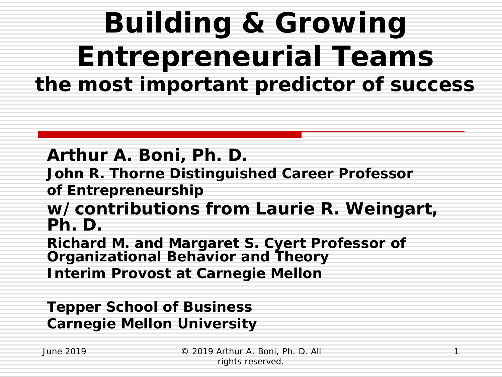#### *Building & Growing Entrepreneurial Teams the most important predictor of success*

**Arthur A. Boni, Ph. D.**

**John R. Thorne Distinguished Career Professor**

**of Entrepreneurship**

**w/contributions from Laurie R. Weingart, Ph. D.** 

**Richard M. and Margaret S. Cyert Professor of Organizational Behavior and Theory Interim Provost at Carnegie Mellon** 

**Tepper School of Business Carnegie Mellon University**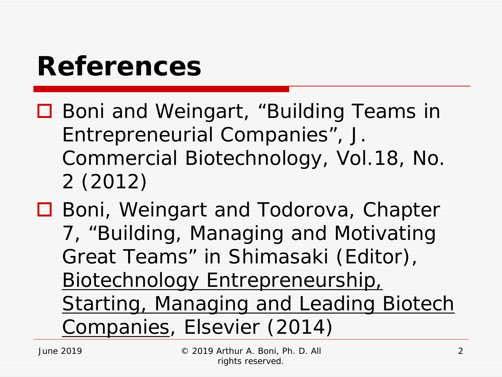### *References*

- **□ Boni and Weingart, "Building Teams in** Entrepreneurial Companies", J. Commercial Biotechnology, Vol.18, No. 2 (2012)
- **□** Boni, Weingart and Todorova, Chapter 7, "Building, Managing and Motivating Great Teams" in Shimasaki (Editor), Biotechnology Entrepreneurship, Starting, Managing and Leading Biotech Companies, Elsevier (2014)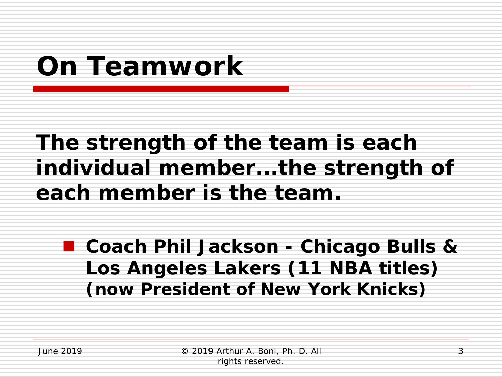### *On Teamwork*

#### **The strength of the team is each individual member...the strength of each member is the team.**

 **Coach Phil Jackson - Chicago Bulls & Los Angeles Lakers (11 NBA titles) (now President of New York Knicks)**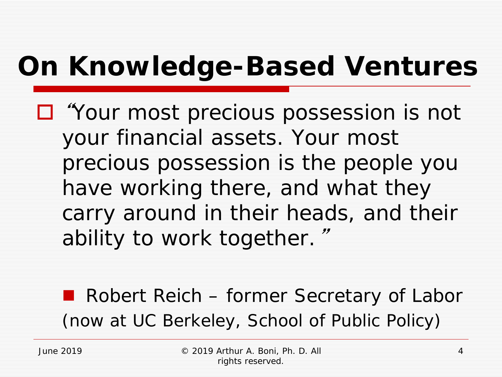### *On Knowledge-Based Ventures*

 "*Your most precious possession is not your financial assets. Your most precious possession is the people you have working there, and what they carry around in their heads, and their ability to work together.*"

■ Robert Reich – former Secretary of Labor (now at UC Berkeley, School of Public Policy)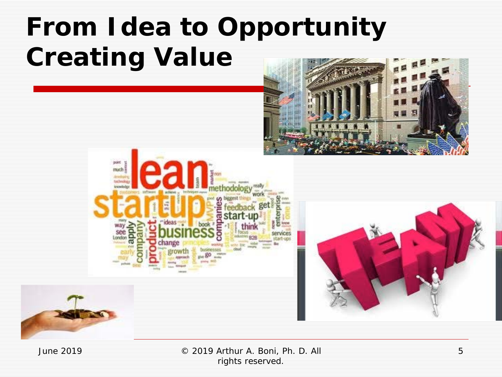### *From Idea to Opportunity Creating Value*



© 2019 Arthur A. Boni, Ph. D. All rights reserved.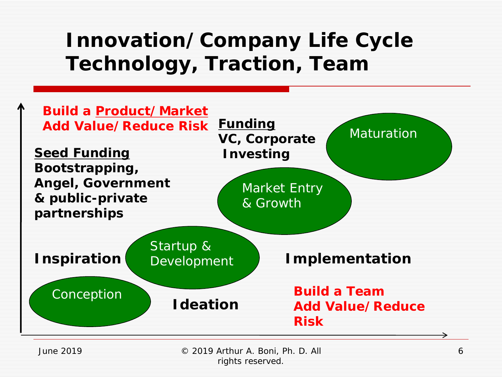#### *Innovation/Company Life Cycle Technology, Traction, Team*



© 2019 Arthur A. Boni, Ph. D. All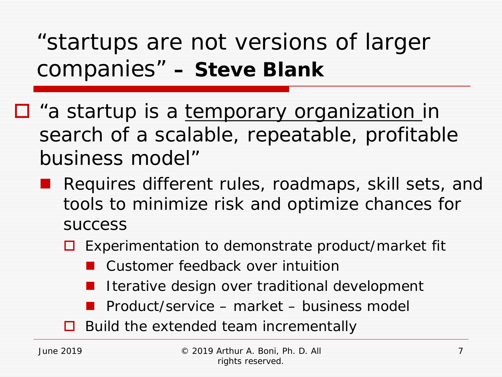"startups are not versions of larger companies" *– Steve Blank*

- $\Box$  "a startup is a temporary organization in search of a scalable, repeatable, profitable business model"
	- Requires different rules, roadmaps, skill sets, and tools to minimize risk and optimize chances for success
		- $\Box$  Experimentation to demonstrate product/market fit
			- Customer feedback over intuition
			- Iterative design over traditional development
			- Product/service market business model
		- Build the extended team incrementally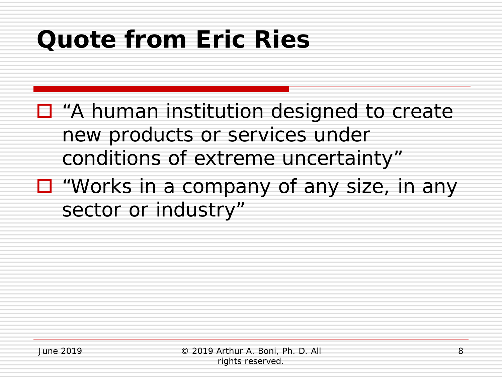#### *Quote from Eric Ries*

- $\Box$  "A human institution designed to create new products or services under conditions of extreme uncertainty"
- $\Box$  "Works in a company of any size, in any sector or industry"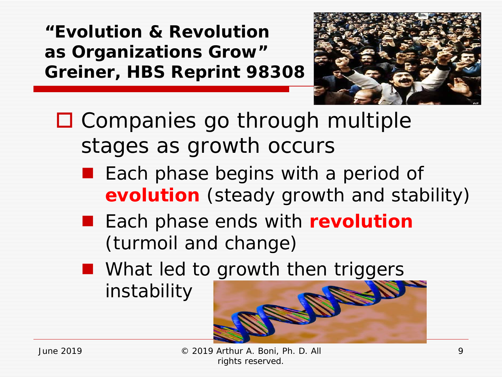*"Evolution & Revolution as Organizations Grow" Greiner, HBS Reprint 98308*



□ Companies go through multiple stages as growth occurs

- Each phase begins with a period of *evolution* (steady growth and stability)
- Each phase ends with *revolution* (turmoil and change)
- What led to growth then triggers

instability



© 2019 Arthur A. Boni, Ph. D. All June 2019 9rights reserved.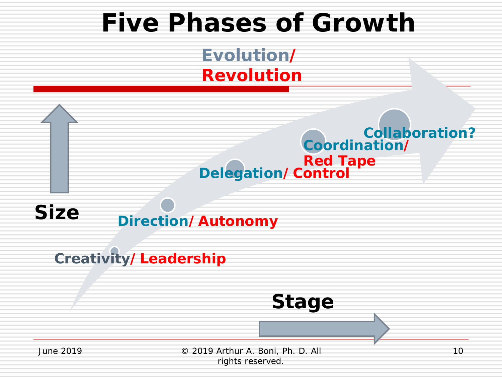#### *Five Phases of Growth*

*Evolution/ Revolution*

*Delegation/Control Red Tape*



*Direction/Autonomy*

*Creativity/Leadership*

*Stage*

*Coordination/*

*Collaboration?*

© 2019 Arthur A. Boni, Ph. D. All rights reserved.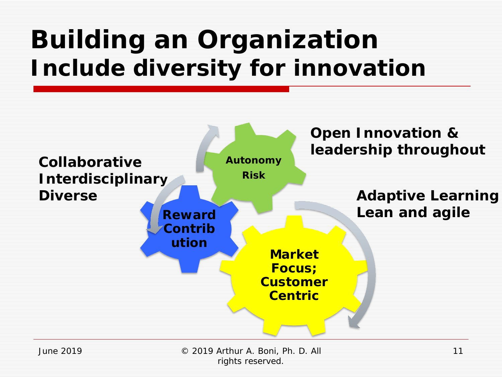#### *Building an Organization Include diversity for innovation*



© 2019 Arthur A. Boni, Ph. D. All rights reserved.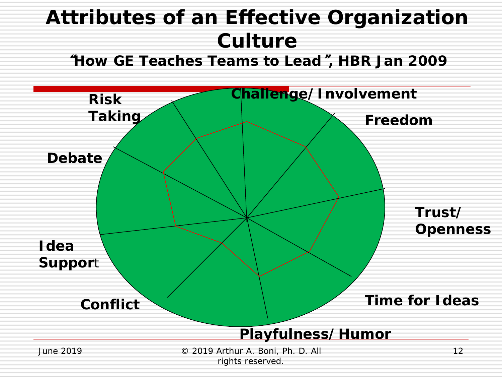#### *Attributes of an Effective Organization Culture*

"*How GE Teaches Teams to Lead*"*, HBR Jan 2009*

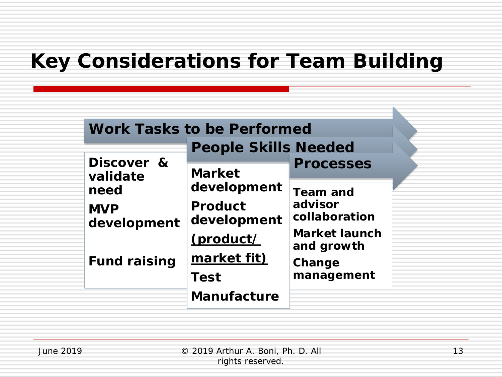#### *Key Considerations for Team Building*

| <b>Work Tasks to be Performed</b> |                               |                                    |
|-----------------------------------|-------------------------------|------------------------------------|
|                                   | <b>People Skills Needed</b>   |                                    |
| Discover &<br>validate            | <b>Market</b>                 | <b>Processes</b>                   |
| need                              | development                   | <b>Team and</b>                    |
| <b>MVP</b><br>development         | <b>Product</b><br>development | advisor<br>collaboration           |
|                                   | (product/                     | <b>Market launch</b><br>and growth |
| <b>Fund raising</b>               | market fit)                   | Change                             |
|                                   | <b>Test</b>                   | management                         |
|                                   | <b>Manufacture</b>            |                                    |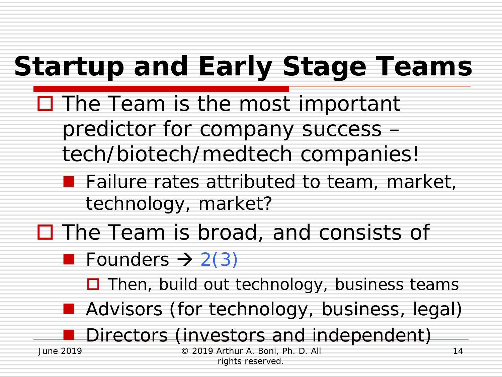### *Startup and Early Stage Teams*

- $\Box$  The Team is the most important predictor for company success – tech/biotech/medtech companies!
	- **Failure rates attributed to team, market,** technology, market?
- $\Box$  The Team is broad, and consists of
	- **Founders**  $\rightarrow$  **2(3)** 
		- $\Box$  Then, build out technology, business teams
	- **Advisors (for technology, business, legal)**

Directors (investors and independent)

© 2019 Arthur A. Boni, Ph. D. All rights reserved.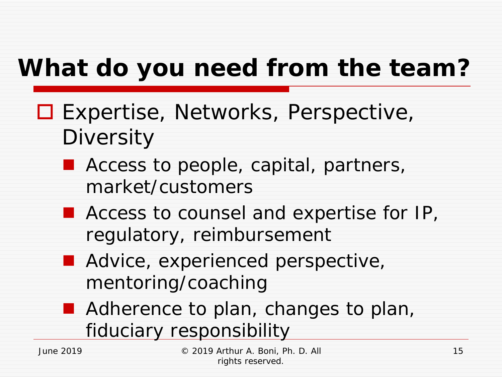#### *What do you need from the team?*

- **□ Expertise, Networks, Perspective, Diversity** 
	- Access to people, capital, partners, market/customers
	- **Access to counsel and expertise for IP,** regulatory, reimbursement
	- **Advice, experienced perspective,** mentoring/coaching
	- Adherence to plan, changes to plan, fiduciary responsibility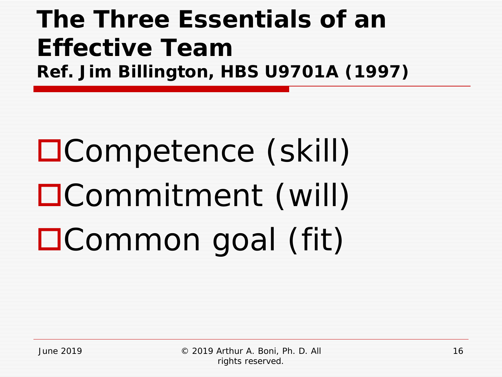#### *The Three Essentials of an Effective Team Ref. Jim Billington, HBS U9701A (1997)*

# Competence (skill) Commitment (will) Common goal (fit)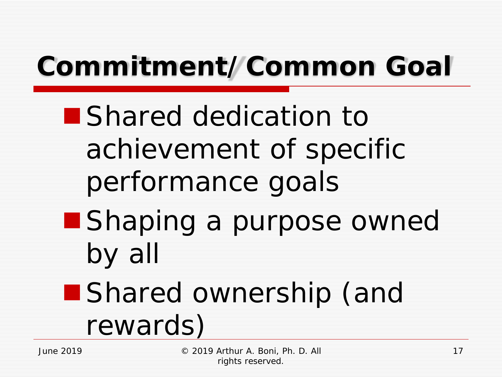# *Commitment/Common Goal*

- **Shared dedication to** achievement of specific performance goals
- **Shaping a purpose owned** by all

### **Shared ownership (and** rewards)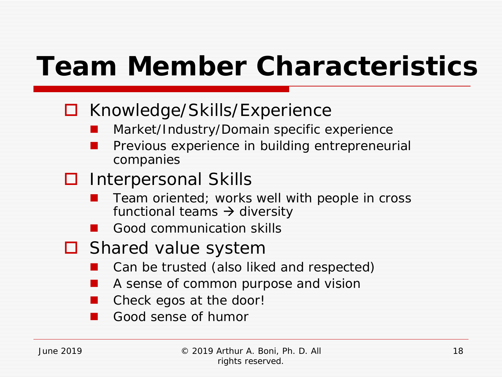#### *Team Member Characteristics*

- **□ Knowledge/Skills/Experience** 
	- Market/Industry/Domain specific experience
	- Previous experience in building entrepreneurial companies

#### □ Interpersonal Skills

- Team oriented; works well with people in cross functional teams  $\rightarrow$  diversity
- Good communication skills
- **□** Shared value system
	- Can be trusted (also liked and respected)
	- A sense of common purpose and vision
	- Check egos at the door!
	- Good sense of humor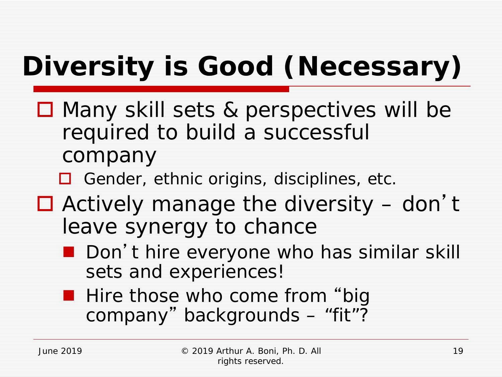# *Diversity is Good (Necessary)*

- □ Many skill sets & perspectives will be required to build a successful company
	- Gender, ethnic origins, disciplines, etc.
- $\Box$  Actively manage the diversity don't leave synergy to chance
	- Don't hire everyone who has similar skill sets and experiences!
	- **Hire those who come from "big** company " backgrounds – "fit"?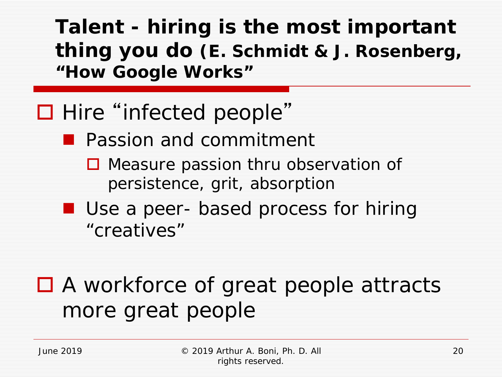*Talent - hiring is the most important thing you do (E. Schmidt & J. Rosenberg, "How Google Works"*

#### $\Box$  Hire "infected people"

- **Passion and commitment** 
	- **□** Measure passion thru observation of persistence, grit, absorption
- **Use a peer- based process for hiring** "creatives"

#### ■ A workforce of great people attracts more great people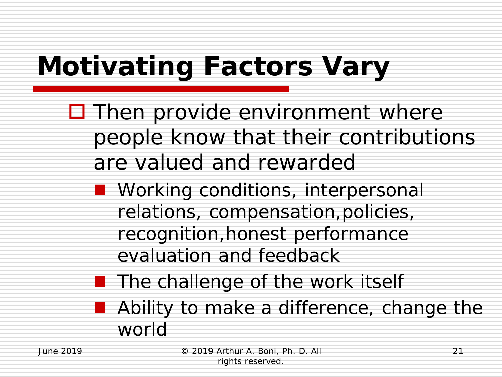# *Motivating Factors Vary*

- $\Box$  Then provide environment where people know that their contributions are valued and rewarded
	- **Norking conditions, interpersonal** relations, compensation,policies, recognition,honest performance evaluation and feedback
	- $\blacksquare$  The challenge of the work itself **Ability to make a difference, change the** world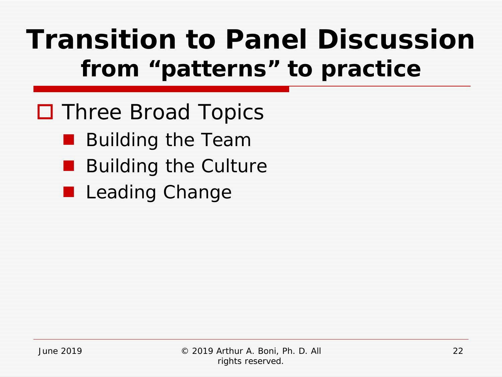#### *Transition to Panel Discussion from "patterns" to practice*

- **□** Three Broad Topics
	- **Building the Team**
	- **Building the Culture**
	- **Leading Change**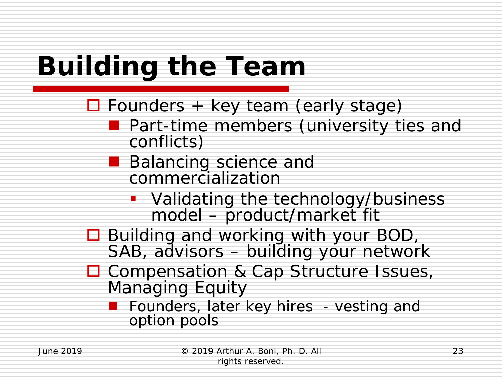# *Building the Team*

 $\Box$  Founders + key team (early stage)

- **Part-time members (university ties and conflicts)**
- **Balancing science and** commercialization
	- **Validating the technology/business** model – product/market fit
- □ Building and working with your BOD, SAB, advisors – building your network
- **□ Compensation & Cap Structure Issues,** Managing Equity
	- Founders, later key hires vesting and option pools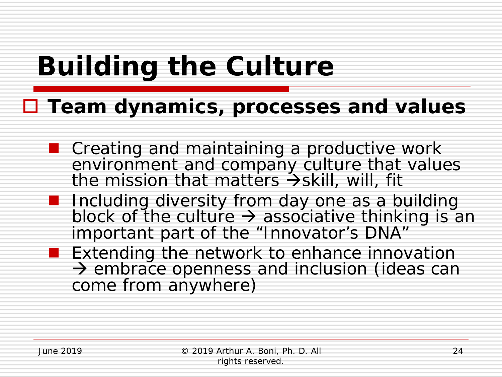### *Building the Culture*

#### **Team dynamics, processes and values**

- Creating and maintaining a productive work environment and company culture that values the mission that matters  $\rightarrow$ skill, will, fit
- **I** Including diversity from day one as a building block of the culture  $\rightarrow$  associative thinking is an important part of the "Innovator's DNA"
- **EXTERD** Extending the network to enhance innovation  $\rightarrow$  embrace openness and inclusion (ideas can come from anywhere)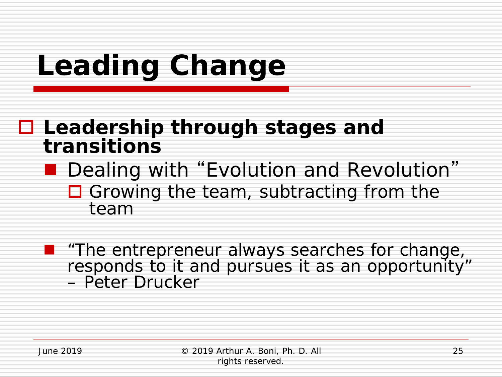# *Leading Change*

#### **Leadership through stages and transitions**

#### Dealing with "Evolution and Revolution"  $\Box$  Growing the team, subtracting from the team

 *"The entrepreneur always searches for change, responds to it and pursues it as an opportunity" – Peter Drucker*